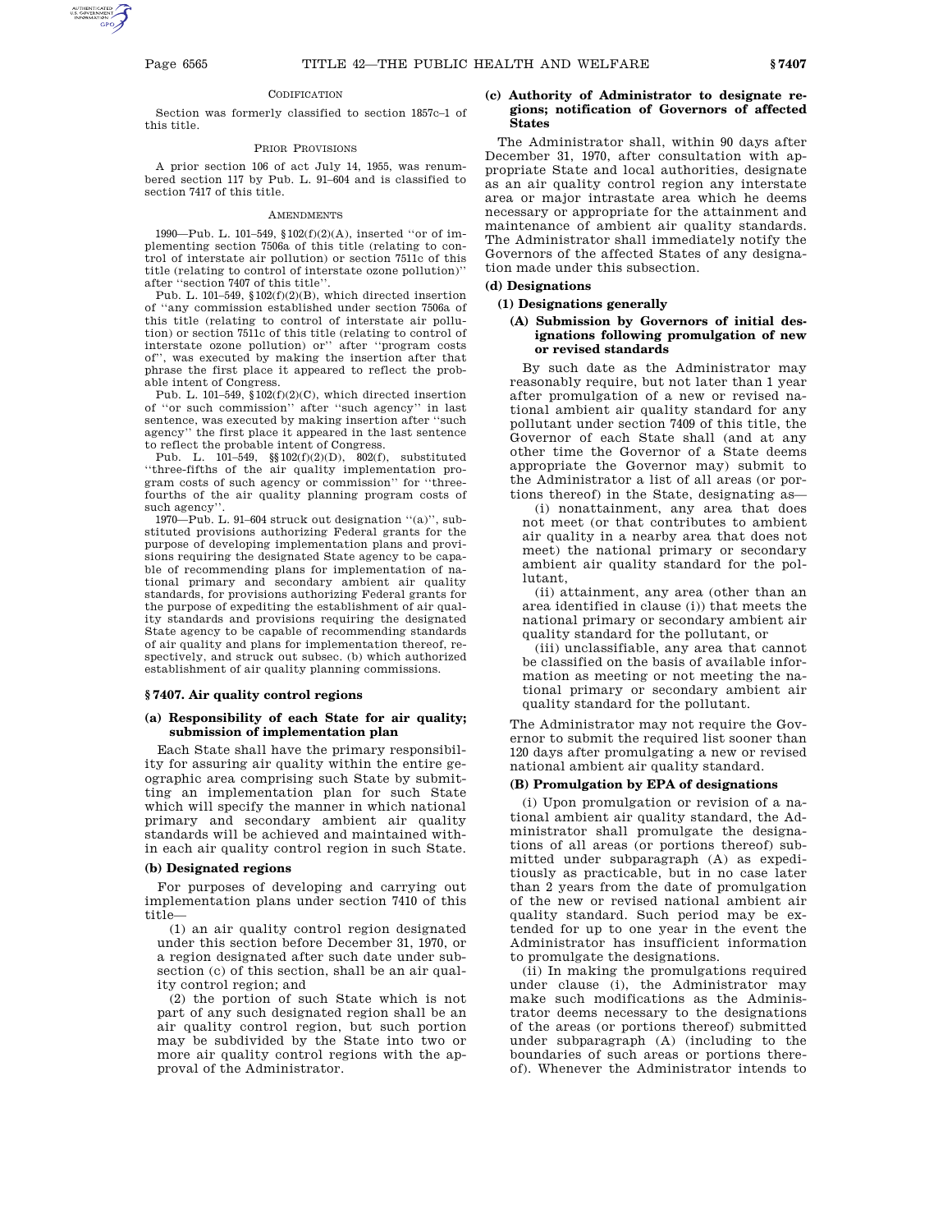## CODIFICATION

Section was formerly classified to section 1857c–1 of this title.

## PRIOR PROVISIONS

A prior section 106 of act July 14, 1955, was renumbered section 117 by Pub. L. 91–604 and is classified to section 7417 of this title.

#### **AMENDMENTS**

1990—Pub. L. 101–549, §102(f)(2)(A), inserted ''or of implementing section 7506a of this title (relating to control of interstate air pollution) or section 7511c of this title (relating to control of interstate ozone pollution)'' after ''section 7407 of this title''.

Pub. L. 101–549, §102(f)(2)(B), which directed insertion of ''any commission established under section 7506a of this title (relating to control of interstate air pollution) or section 7511c of this title (relating to control of interstate ozone pollution) or'' after ''program costs of'', was executed by making the insertion after that phrase the first place it appeared to reflect the probable intent of Congress.

Pub. L. 101–549,  $\frac{8}{9}102(f)(2)(C)$ , which directed insertion of ''or such commission'' after ''such agency'' in last sentence, was executed by making insertion after ''such agency'' the first place it appeared in the last sentence to reflect the probable intent of Congress.

Pub. L. 101–549, §§102(f)(2)(D), 802(f), substituted ''three-fifths of the air quality implementation program costs of such agency or commission'' for ''threefourths of the air quality planning program costs of such agency''.

1970—Pub. L. 91–604 struck out designation ''(a)'', substituted provisions authorizing Federal grants for the purpose of developing implementation plans and provisions requiring the designated State agency to be capable of recommending plans for implementation of national primary and secondary ambient air quality standards, for provisions authorizing Federal grants for the purpose of expediting the establishment of air quality standards and provisions requiring the designated State agency to be capable of recommending standards of air quality and plans for implementation thereof, respectively, and struck out subsec. (b) which authorized establishment of air quality planning commissions.

## **§ 7407. Air quality control regions**

## **(a) Responsibility of each State for air quality; submission of implementation plan**

Each State shall have the primary responsibility for assuring air quality within the entire geographic area comprising such State by submitting an implementation plan for such State which will specify the manner in which national primary and secondary ambient air quality standards will be achieved and maintained within each air quality control region in such State.

#### **(b) Designated regions**

For purposes of developing and carrying out implementation plans under section 7410 of this title—

(1) an air quality control region designated under this section before December 31, 1970, or a region designated after such date under subsection (c) of this section, shall be an air quality control region; and

(2) the portion of such State which is not part of any such designated region shall be an air quality control region, but such portion may be subdivided by the State into two or more air quality control regions with the approval of the Administrator.

## **(c) Authority of Administrator to designate regions; notification of Governors of affected States**

The Administrator shall, within 90 days after December 31, 1970, after consultation with appropriate State and local authorities, designate as an air quality control region any interstate area or major intrastate area which he deems necessary or appropriate for the attainment and maintenance of ambient air quality standards. The Administrator shall immediately notify the Governors of the affected States of any designation made under this subsection.

## **(d) Designations**

### **(1) Designations generally**

## **(A) Submission by Governors of initial designations following promulgation of new or revised standards**

By such date as the Administrator may reasonably require, but not later than 1 year after promulgation of a new or revised national ambient air quality standard for any pollutant under section 7409 of this title, the Governor of each State shall (and at any other time the Governor of a State deems appropriate the Governor may) submit to the Administrator a list of all areas (or portions thereof) in the State, designating as—

(i) nonattainment, any area that does not meet (or that contributes to ambient air quality in a nearby area that does not meet) the national primary or secondary ambient air quality standard for the pollutant,

(ii) attainment, any area (other than an area identified in clause (i)) that meets the national primary or secondary ambient air quality standard for the pollutant, or

(iii) unclassifiable, any area that cannot be classified on the basis of available information as meeting or not meeting the national primary or secondary ambient air quality standard for the pollutant.

The Administrator may not require the Governor to submit the required list sooner than 120 days after promulgating a new or revised national ambient air quality standard.

## **(B) Promulgation by EPA of designations**

(i) Upon promulgation or revision of a national ambient air quality standard, the Administrator shall promulgate the designations of all areas (or portions thereof) submitted under subparagraph (A) as expeditiously as practicable, but in no case later than 2 years from the date of promulgation of the new or revised national ambient air quality standard. Such period may be extended for up to one year in the event the Administrator has insufficient information to promulgate the designations.

(ii) In making the promulgations required under clause (i), the Administrator may make such modifications as the Administrator deems necessary to the designations of the areas (or portions thereof) submitted under subparagraph (A) (including to the boundaries of such areas or portions thereof). Whenever the Administrator intends to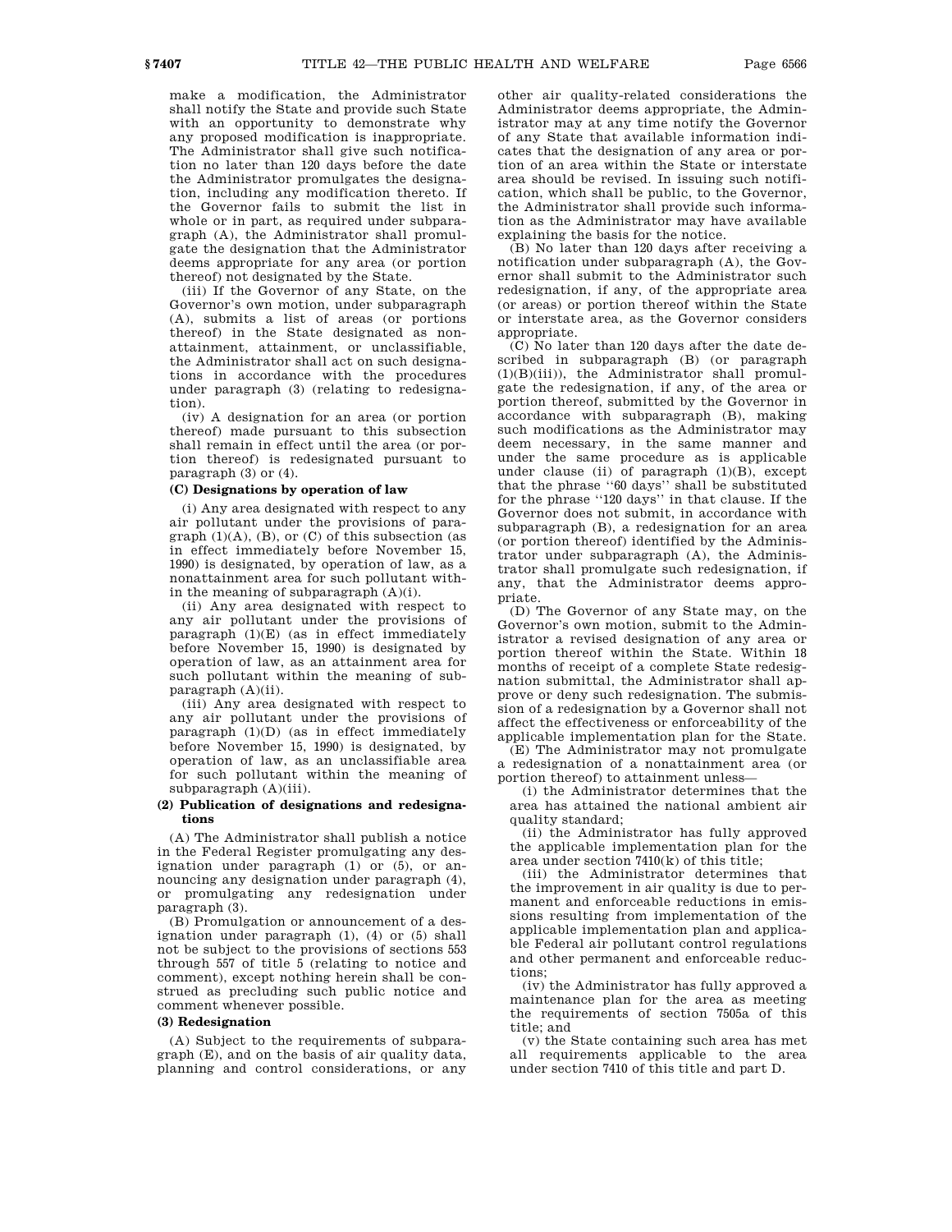make a modification, the Administrator shall notify the State and provide such State with an opportunity to demonstrate why any proposed modification is inappropriate. The Administrator shall give such notification no later than 120 days before the date the Administrator promulgates the designation, including any modification thereto. If the Governor fails to submit the list in whole or in part, as required under subparagraph (A), the Administrator shall promulgate the designation that the Administrator deems appropriate for any area (or portion thereof) not designated by the State.

(iii) If the Governor of any State, on the Governor's own motion, under subparagraph (A), submits a list of areas (or portions thereof) in the State designated as nonattainment, attainment, or unclassifiable, the Administrator shall act on such designations in accordance with the procedures under paragraph (3) (relating to redesignation).

(iv) A designation for an area (or portion thereof) made pursuant to this subsection shall remain in effect until the area (or portion thereof) is redesignated pursuant to paragraph (3) or (4).

## **(C) Designations by operation of law**

(i) Any area designated with respect to any air pollutant under the provisions of paragraph  $(1)(A)$ ,  $(B)$ , or  $(C)$  of this subsection (as in effect immediately before November 15, 1990) is designated, by operation of law, as a nonattainment area for such pollutant within the meaning of subparagraph (A)(i).

(ii) Any area designated with respect to any air pollutant under the provisions of paragraph  $(1)(E)$  (as in effect immediately before November 15, 1990) is designated by operation of law, as an attainment area for such pollutant within the meaning of subparagraph (A)(ii).

(iii) Any area designated with respect to any air pollutant under the provisions of paragraph  $(1)(D)$  (as in effect immediately before November 15, 1990) is designated, by operation of law, as an unclassifiable area for such pollutant within the meaning of subparagraph (A)(iii).

## **(2) Publication of designations and redesignations**

(A) The Administrator shall publish a notice in the Federal Register promulgating any designation under paragraph (1) or (5), or announcing any designation under paragraph (4), or promulgating any redesignation under paragraph (3).

(B) Promulgation or announcement of a designation under paragraph (1), (4) or (5) shall not be subject to the provisions of sections 553 through 557 of title 5 (relating to notice and comment), except nothing herein shall be construed as precluding such public notice and comment whenever possible.

#### **(3) Redesignation**

(A) Subject to the requirements of subparagraph (E), and on the basis of air quality data, planning and control considerations, or any other air quality-related considerations the Administrator deems appropriate, the Administrator may at any time notify the Governor of any State that available information indicates that the designation of any area or portion of an area within the State or interstate area should be revised. In issuing such notification, which shall be public, to the Governor, the Administrator shall provide such information as the Administrator may have available explaining the basis for the notice.

(B) No later than 120 days after receiving a notification under subparagraph (A), the Governor shall submit to the Administrator such redesignation, if any, of the appropriate area (or areas) or portion thereof within the State or interstate area, as the Governor considers appropriate.

(C) No later than 120 days after the date described in subparagraph (B) (or paragraph (1)(B)(iii)), the Administrator shall promulgate the redesignation, if any, of the area or portion thereof, submitted by the Governor in accordance with subparagraph (B), making such modifications as the Administrator may deem necessary, in the same manner and under the same procedure as is applicable under clause (ii) of paragraph (1)(B), except that the phrase ''60 days'' shall be substituted for the phrase ''120 days'' in that clause. If the Governor does not submit, in accordance with subparagraph (B), a redesignation for an area (or portion thereof) identified by the Administrator under subparagraph (A), the Administrator shall promulgate such redesignation, if any, that the Administrator deems appropriate.

(D) The Governor of any State may, on the Governor's own motion, submit to the Administrator a revised designation of any area or portion thereof within the State. Within 18 months of receipt of a complete State redesignation submittal, the Administrator shall approve or deny such redesignation. The submission of a redesignation by a Governor shall not affect the effectiveness or enforceability of the applicable implementation plan for the State.

(E) The Administrator may not promulgate a redesignation of a nonattainment area (or portion thereof) to attainment unless—

(i) the Administrator determines that the area has attained the national ambient air quality standard;

(ii) the Administrator has fully approved the applicable implementation plan for the area under section 7410(k) of this title;

(iii) the Administrator determines that the improvement in air quality is due to permanent and enforceable reductions in emissions resulting from implementation of the applicable implementation plan and applicable Federal air pollutant control regulations and other permanent and enforceable reductions;

(iv) the Administrator has fully approved a maintenance plan for the area as meeting the requirements of section 7505a of this title; and

(v) the State containing such area has met all requirements applicable to the area under section 7410 of this title and part D.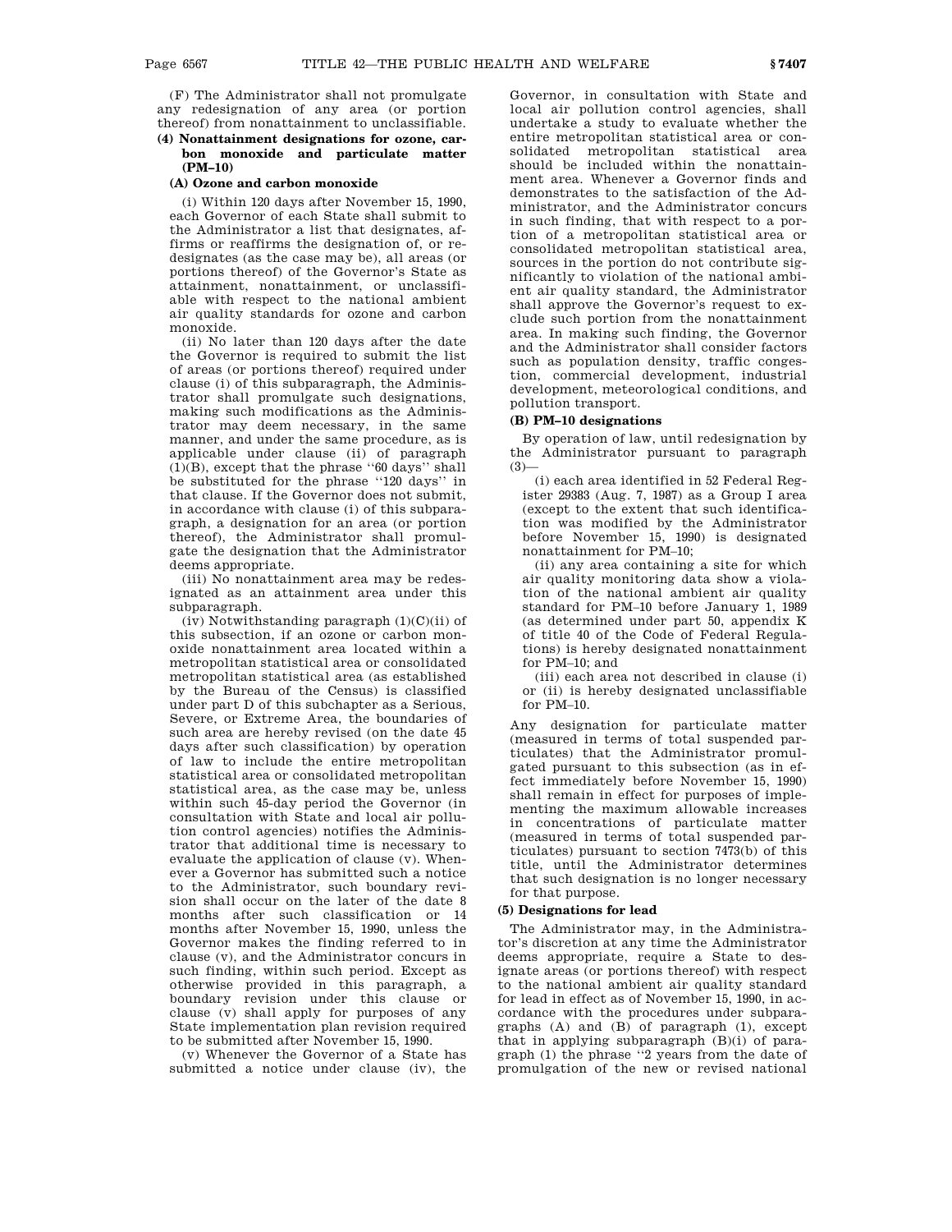(F) The Administrator shall not promulgate any redesignation of any area (or portion thereof) from nonattainment to unclassifiable.

### **(4) Nonattainment designations for ozone, carbon monoxide and particulate matter (PM–10)**

#### **(A) Ozone and carbon monoxide**

(i) Within 120 days after November 15, 1990, each Governor of each State shall submit to the Administrator a list that designates, affirms or reaffirms the designation of, or redesignates (as the case may be), all areas (or portions thereof) of the Governor's State as attainment, nonattainment, or unclassifiable with respect to the national ambient air quality standards for ozone and carbon monoxide.

(ii) No later than 120 days after the date the Governor is required to submit the list of areas (or portions thereof) required under clause (i) of this subparagraph, the Administrator shall promulgate such designations, making such modifications as the Administrator may deem necessary, in the same manner, and under the same procedure, as is applicable under clause (ii) of paragraph (1)(B), except that the phrase ''60 days'' shall be substituted for the phrase ''120 days'' in that clause. If the Governor does not submit, in accordance with clause (i) of this subparagraph, a designation for an area (or portion thereof), the Administrator shall promulgate the designation that the Administrator deems appropriate.

(iii) No nonattainment area may be redesignated as an attainment area under this subparagraph.

(iv) Notwithstanding paragraph  $(1)(C)(ii)$  of this subsection, if an ozone or carbon monoxide nonattainment area located within a metropolitan statistical area or consolidated metropolitan statistical area (as established by the Bureau of the Census) is classified under part D of this subchapter as a Serious, Severe, or Extreme Area, the boundaries of such area are hereby revised (on the date 45 days after such classification) by operation of law to include the entire metropolitan statistical area or consolidated metropolitan statistical area, as the case may be, unless within such 45-day period the Governor (in consultation with State and local air pollution control agencies) notifies the Administrator that additional time is necessary to evaluate the application of clause (v). Whenever a Governor has submitted such a notice to the Administrator, such boundary revision shall occur on the later of the date 8 months after such classification or 14 months after November 15, 1990, unless the Governor makes the finding referred to in clause (v), and the Administrator concurs in such finding, within such period. Except as otherwise provided in this paragraph, a boundary revision under this clause or clause (v) shall apply for purposes of any State implementation plan revision required to be submitted after November 15, 1990.

(v) Whenever the Governor of a State has submitted a notice under clause (iv), the Governor, in consultation with State and local air pollution control agencies, shall undertake a study to evaluate whether the entire metropolitan statistical area or consolidated metropolitan statistical area should be included within the nonattainment area. Whenever a Governor finds and demonstrates to the satisfaction of the Administrator, and the Administrator concurs in such finding, that with respect to a portion of a metropolitan statistical area or consolidated metropolitan statistical area, sources in the portion do not contribute significantly to violation of the national ambient air quality standard, the Administrator shall approve the Governor's request to exclude such portion from the nonattainment area. In making such finding, the Governor and the Administrator shall consider factors such as population density, traffic congestion, commercial development, industrial development, meteorological conditions, and pollution transport.

## **(B) PM–10 designations**

By operation of law, until redesignation by the Administrator pursuant to paragraph  $(3)$ 

(i) each area identified in 52 Federal Register 29383 (Aug. 7, 1987) as a Group I area (except to the extent that such identification was modified by the Administrator before November 15, 1990) is designated nonattainment for PM–10;

(ii) any area containing a site for which air quality monitoring data show a violation of the national ambient air quality standard for PM–10 before January 1, 1989 (as determined under part 50, appendix K of title 40 of the Code of Federal Regulations) is hereby designated nonattainment for PM–10; and

(iii) each area not described in clause (i) or (ii) is hereby designated unclassifiable for PM–10.

Any designation for particulate matter (measured in terms of total suspended particulates) that the Administrator promulgated pursuant to this subsection (as in effect immediately before November 15, 1990) shall remain in effect for purposes of implementing the maximum allowable increases in concentrations of particulate matter (measured in terms of total suspended particulates) pursuant to section 7473(b) of this title, until the Administrator determines that such designation is no longer necessary for that purpose.

### **(5) Designations for lead**

The Administrator may, in the Administrator's discretion at any time the Administrator deems appropriate, require a State to designate areas (or portions thereof) with respect to the national ambient air quality standard for lead in effect as of November 15, 1990, in accordance with the procedures under subparagraphs (A) and (B) of paragraph (1), except that in applying subparagraph (B)(i) of paragraph (1) the phrase ''2 years from the date of promulgation of the new or revised national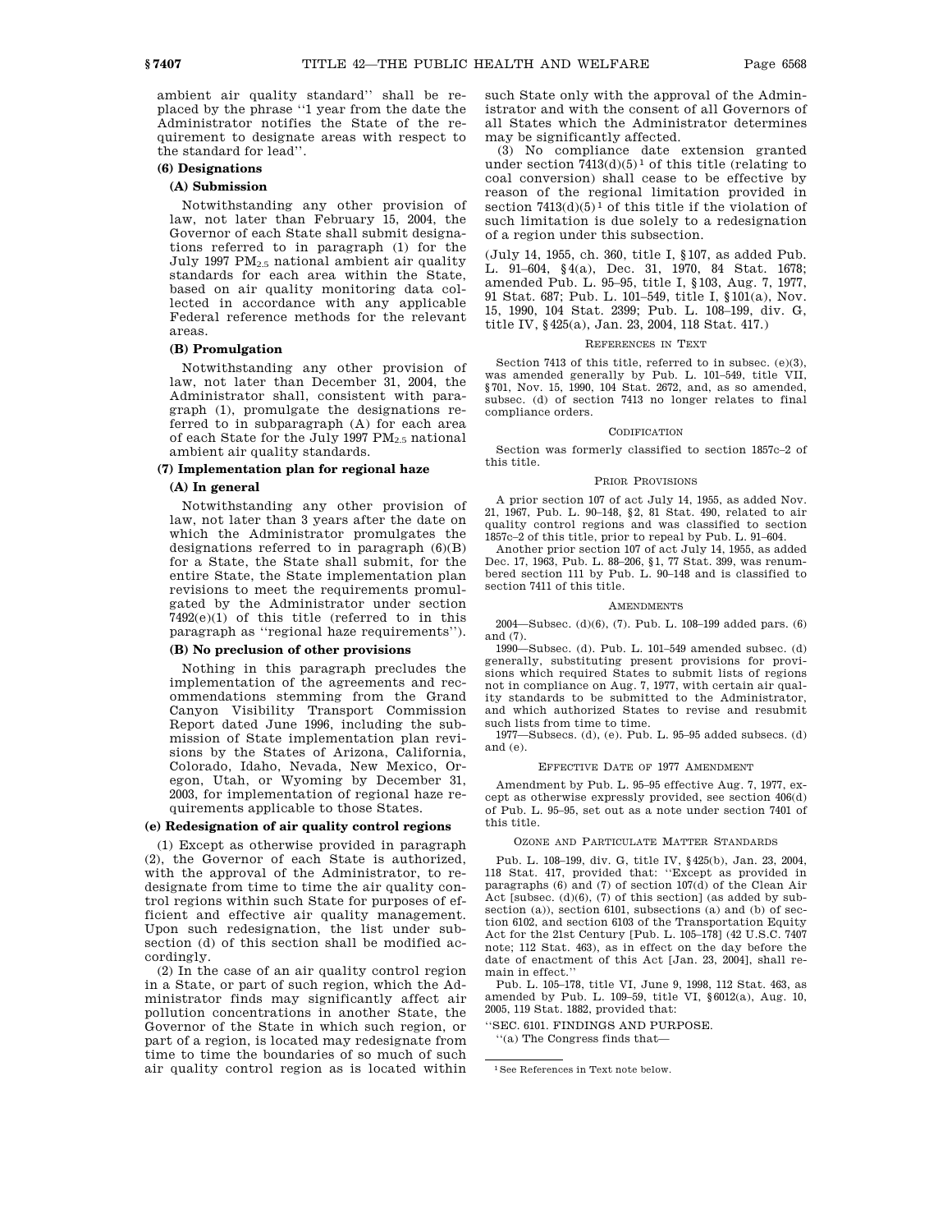ambient air quality standard'' shall be replaced by the phrase ''1 year from the date the Administrator notifies the State of the requirement to designate areas with respect to the standard for lead''.

## **(6) Designations**

# **(A) Submission**

Notwithstanding any other provision of law, not later than February 15, 2004, the Governor of each State shall submit designations referred to in paragraph (1) for the July 1997  $PM_{2.5}$  national ambient air quality standards for each area within the State, based on air quality monitoring data collected in accordance with any applicable Federal reference methods for the relevant areas.

## **(B) Promulgation**

Notwithstanding any other provision of law, not later than December 31, 2004, the Administrator shall, consistent with paragraph (1), promulgate the designations referred to in subparagraph (A) for each area of each State for the July 1997 PM<sub>2.5</sub> national ambient air quality standards.

## **(7) Implementation plan for regional haze**

#### **(A) In general**

Notwithstanding any other provision of law, not later than 3 years after the date on which the Administrator promulgates the designations referred to in paragraph  $(6)(B)$ for a State, the State shall submit, for the entire State, the State implementation plan revisions to meet the requirements promulgated by the Administrator under section 7492(e)(1) of this title (referred to in this paragraph as ''regional haze requirements'').

#### **(B) No preclusion of other provisions**

Nothing in this paragraph precludes the implementation of the agreements and recommendations stemming from the Grand Canyon Visibility Transport Commission Report dated June 1996, including the submission of State implementation plan revisions by the States of Arizona, California, Colorado, Idaho, Nevada, New Mexico, Oregon, Utah, or Wyoming by December 31, 2003, for implementation of regional haze requirements applicable to those States.

#### **(e) Redesignation of air quality control regions**

(1) Except as otherwise provided in paragraph (2), the Governor of each State is authorized, with the approval of the Administrator, to redesignate from time to time the air quality control regions within such State for purposes of efficient and effective air quality management. Upon such redesignation, the list under subsection (d) of this section shall be modified accordingly.

(2) In the case of an air quality control region in a State, or part of such region, which the Administrator finds may significantly affect air pollution concentrations in another State, the Governor of the State in which such region, or part of a region, is located may redesignate from time to time the boundaries of so much of such air quality control region as is located within such State only with the approval of the Administrator and with the consent of all Governors of all States which the Administrator determines may be significantly affected.

(3) No compliance date extension granted under section  $7413(d)(5)^1$  of this title (relating to coal conversion) shall cease to be effective by reason of the regional limitation provided in section  $7413(d)(5)^1$  of this title if the violation of such limitation is due solely to a redesignation of a region under this subsection.

(July 14, 1955, ch. 360, title I, §107, as added Pub. L. 91–604, §4(a), Dec. 31, 1970, 84 Stat. 1678; amended Pub. L. 95–95, title I, §103, Aug. 7, 1977, 91 Stat. 687; Pub. L. 101–549, title I, §101(a), Nov. 15, 1990, 104 Stat. 2399; Pub. L. 108–199, div. G, title IV, §425(a), Jan. 23, 2004, 118 Stat. 417.)

#### REFERENCES IN TEXT

Section 7413 of this title, referred to in subsec. (e)(3), was amended generally by Pub. L. 101–549, title VII, §701, Nov. 15, 1990, 104 Stat. 2672, and, as so amended, subsec. (d) of section 7413 no longer relates to final compliance orders.

#### CODIFICATION

Section was formerly classified to section 1857c–2 of this title.

#### PRIOR PROVISIONS

A prior section 107 of act July 14, 1955, as added Nov. 21, 1967, Pub. L. 90–148, §2, 81 Stat. 490, related to air quality control regions and was classified to section 1857c–2 of this title, prior to repeal by Pub. L. 91–604.

Another prior section 107 of act July 14, 1955, as added Dec. 17, 1963, Pub. L. 88–206, §1, 77 Stat. 399, was renumbered section 111 by Pub. L. 90–148 and is classified to section 7411 of this title.

#### AMENDMENTS

2004—Subsec. (d)(6), (7). Pub. L. 108–199 added pars. (6) and (7).

1990—Subsec. (d). Pub. L. 101–549 amended subsec. (d) generally, substituting present provisions for provisions which required States to submit lists of regions not in compliance on Aug. 7, 1977, with certain air quality standards to be submitted to the Administrator, and which authorized States to revise and resubmit such lists from time to time.

1977—Subsecs. (d), (e). Pub. L. 95–95 added subsecs. (d) and (e).

## EFFECTIVE DATE OF 1977 AMENDMENT

Amendment by Pub. L. 95–95 effective Aug. 7, 1977, except as otherwise expressly provided, see section 406(d) of Pub. L. 95–95, set out as a note under section 7401 of this title.

#### OZONE AND PARTICULATE MATTER STANDARDS

Pub. L. 108–199, div. G, title IV, §425(b), Jan. 23, 2004, 118 Stat. 417, provided that: ''Except as provided in paragraphs (6) and (7) of section 107(d) of the Clean Air Act [subsec. (d)(6), (7) of this section] (as added by subsection (a)), section 6101, subsections (a) and (b) of section 6102, and section 6103 of the Transportation Equity Act for the 21st Century [Pub. L. 105–178] (42 U.S.C. 7407 note; 112 Stat. 463), as in effect on the day before the date of enactment of this Act [Jan. 23, 2004], shall remain in effect.''

Pub. L. 105–178, title VI, June 9, 1998, 112 Stat. 463, as amended by Pub. L. 109–59, title VI, §6012(a), Aug. 10, 2005, 119 Stat. 1882, provided that:

''SEC. 6101. FINDINGS AND PURPOSE.

''(a) The Congress finds that—

<sup>1</sup>See References in Text note below.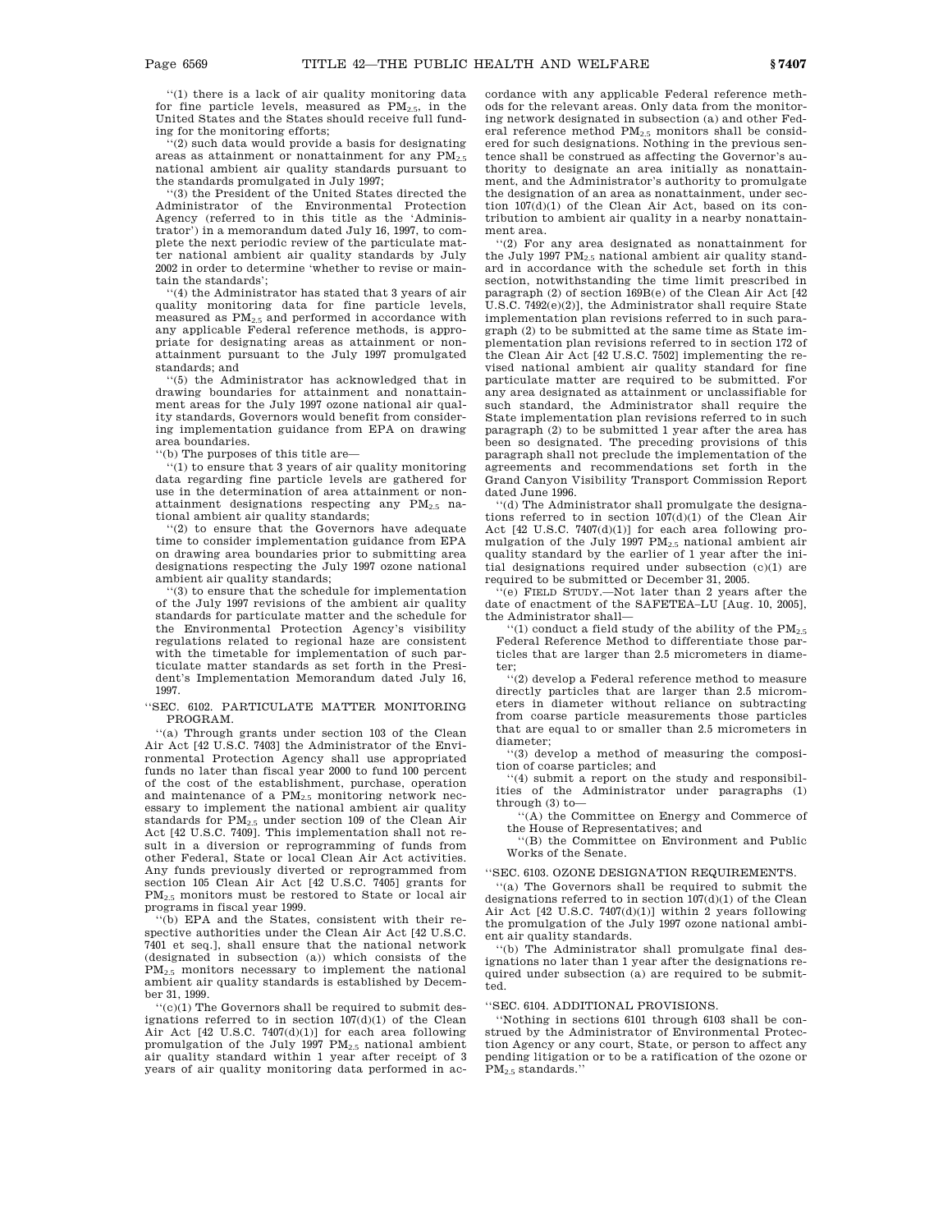''(1) there is a lack of air quality monitoring data for fine particle levels, measured as  $PM<sub>2.5</sub>$ , in the United States and the States should receive full funding for the monitoring efforts;

''(2) such data would provide a basis for designating areas as attainment or nonattainment for any  $PM_{2.5}$ national ambient air quality standards pursuant to the standards promulgated in July 1997;

'(3) the President of the United States directed the Administrator of the Environmental Protection Agency (referred to in this title as the 'Administrator') in a memorandum dated July 16, 1997, to complete the next periodic review of the particulate matter national ambient air quality standards by July 2002 in order to determine 'whether to revise or maintain the standards';

''(4) the Administrator has stated that 3 years of air quality monitoring data for fine particle levels, measured as  $PM_{2.5}$  and performed in accordance with any applicable Federal reference methods, is appropriate for designating areas as attainment or nonattainment pursuant to the July 1997 promulgated standards; and

''(5) the Administrator has acknowledged that in drawing boundaries for attainment and nonattainment areas for the July 1997 ozone national air quality standards, Governors would benefit from considering implementation guidance from EPA on drawing area boundaries.

''(b) The purposes of this title are—

''(1) to ensure that 3 years of air quality monitoring data regarding fine particle levels are gathered for use in the determination of area attainment or nonattainment designations respecting any PM2.5 national ambient air quality standards;

''(2) to ensure that the Governors have adequate time to consider implementation guidance from EPA on drawing area boundaries prior to submitting area designations respecting the July 1997 ozone national ambient air quality standards;

'(3) to ensure that the schedule for implementation of the July 1997 revisions of the ambient air quality standards for particulate matter and the schedule for the Environmental Protection Agency's visibility regulations related to regional haze are consistent with the timetable for implementation of such particulate matter standards as set forth in the President's Implementation Memorandum dated July 16, 1997.

#### ''SEC. 6102. PARTICULATE MATTER MONITORING PROGRAM.

''(a) Through grants under section 103 of the Clean Air Act [42 U.S.C. 7403] the Administrator of the Environmental Protection Agency shall use appropriated funds no later than fiscal year 2000 to fund 100 percent of the cost of the establishment, purchase, operation and maintenance of a PM<sub>2.5</sub> monitoring network necessary to implement the national ambient air quality standards for PM2.5 under section 109 of the Clean Air Act [42 U.S.C. 7409]. This implementation shall not result in a diversion or reprogramming of funds from other Federal, State or local Clean Air Act activities. Any funds previously diverted or reprogrammed from section 105 Clean Air Act [42 U.S.C. 7405] grants for PM2.5 monitors must be restored to State or local air programs in fiscal year 1999.

''(b) EPA and the States, consistent with their respective authorities under the Clean Air Act [42 U.S.C. 7401 et seq.], shall ensure that the national network (designated in subsection (a)) which consists of the PM2.5 monitors necessary to implement the national ambient air quality standards is established by December 31, 1999.

''(c)(1) The Governors shall be required to submit designations referred to in section  $107(d)(1)$  of the Clean Air Act  $[42 \text{ U.S.C. } 7407(d)(1)]$  for each area following promulgation of the July 1997  $\text{PM}_{2.5}$  national ambient air quality standard within 1 year after receipt of 3 years of air quality monitoring data performed in accordance with any applicable Federal reference methods for the relevant areas. Only data from the monitoring network designated in subsection (a) and other Federal reference method PM2.5 monitors shall be considered for such designations. Nothing in the previous sentence shall be construed as affecting the Governor's authority to designate an area initially as nonattainment, and the Administrator's authority to promulgate the designation of an area as nonattainment, under section 107(d)(1) of the Clean Air Act, based on its contribution to ambient air quality in a nearby nonattainment area.

''(2) For any area designated as nonattainment for the July 1997  $\mathrm{PM}_{2.5}$  national ambient air quality standard in accordance with the schedule set forth in this section, notwithstanding the time limit prescribed in paragraph (2) of section 169B(e) of the Clean Air Act [42 U.S.C. 7492(e)(2)], the Administrator shall require State implementation plan revisions referred to in such paragraph (2) to be submitted at the same time as State implementation plan revisions referred to in section 172 of the Clean Air Act [42 U.S.C. 7502] implementing the revised national ambient air quality standard for fine particulate matter are required to be submitted. For any area designated as attainment or unclassifiable for such standard, the Administrator shall require the State implementation plan revisions referred to in such paragraph (2) to be submitted 1 year after the area has been so designated. The preceding provisions of this paragraph shall not preclude the implementation of the agreements and recommendations set forth in the Grand Canyon Visibility Transport Commission Report dated June 1996.

''(d) The Administrator shall promulgate the designations referred to in section 107(d)(1) of the Clean Air Act [42 U.S.C. 7407(d)(1)] for each area following promulgation of the July 1997 PM2.5 national ambient air quality standard by the earlier of 1 year after the initial designations required under subsection (c)(1) are required to be submitted or December 31, 2005.

''(e) FIELD STUDY.—Not later than 2 years after the date of enactment of the SAFETEA–LU [Aug. 10, 2005], the Administrator shall—

 $(1)$  conduct a field study of the ability of the PM<sub>2.5</sub> Federal Reference Method to differentiate those particles that are larger than 2.5 micrometers in diameter;

''(2) develop a Federal reference method to measure directly particles that are larger than 2.5 micrometers in diameter without reliance on subtracting from coarse particle measurements those particles that are equal to or smaller than 2.5 micrometers in diameter;

''(3) develop a method of measuring the composition of coarse particles; and

''(4) submit a report on the study and responsibilities of the Administrator under paragraphs (1) through (3) to—

''(A) the Committee on Energy and Commerce of the House of Representatives; and

''(B) the Committee on Environment and Public Works of the Senate.

''SEC. 6103. OZONE DESIGNATION REQUIREMENTS.

''(a) The Governors shall be required to submit the designations referred to in section 107(d)(1) of the Clean Air Act [42 U.S.C. 7407(d)(1)] within 2 years following the promulgation of the July 1997 ozone national ambient air quality standards.

''(b) The Administrator shall promulgate final designations no later than 1 year after the designations required under subsection (a) are required to be submitted.

''SEC. 6104. ADDITIONAL PROVISIONS.

''Nothing in sections 6101 through 6103 shall be construed by the Administrator of Environmental Protection Agency or any court, State, or person to affect any pending litigation or to be a ratification of the ozone or PM2.5 standards.''